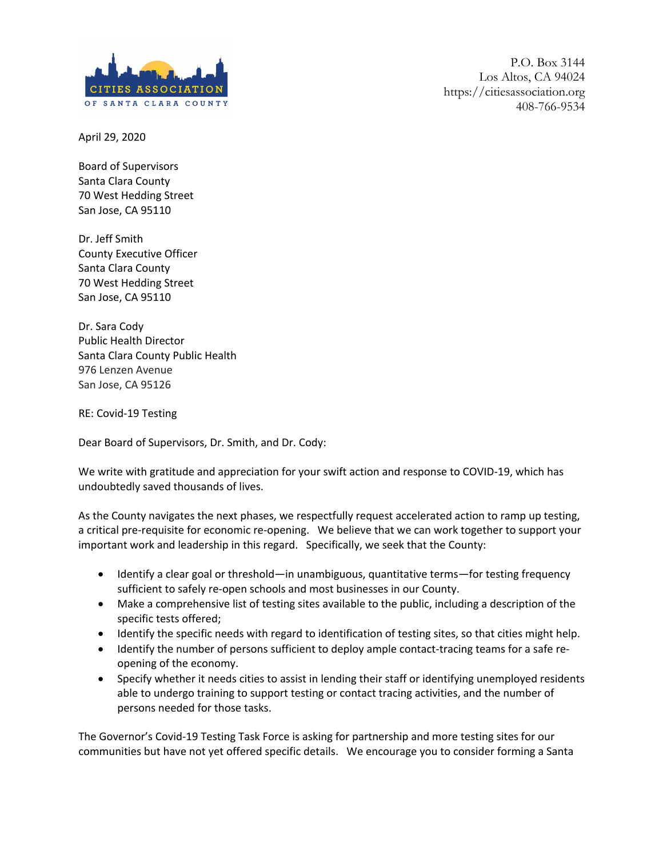

April 29, 2020

Board of Supervisors Santa Clara County 70 West Hedding Street San Jose, CA 95110

Dr. Jeff Smith County Executive Officer Santa Clara County 70 West Hedding Street San Jose, CA 95110

Dr. Sara Cody Public Health Director Santa Clara County Public Health 976 Lenzen Avenue San Jose, CA 95126

RE: Covid-19 Testing

Dear Board of Supervisors, Dr. Smith, and Dr. Cody:

We write with gratitude and appreciation for your swift action and response to COVID-19, which has undoubtedly saved thousands of lives.

As the County navigates the next phases, we respectfully request accelerated action to ramp up testing, a critical pre-requisite for economic re-opening. We believe that we can work together to support your important work and leadership in this regard. Specifically, we seek that the County:

- Identify a clear goal or threshold—in unambiguous, quantitative terms—for testing frequency sufficient to safely re-open schools and most businesses in our County.
- Make a comprehensive list of testing sites available to the public, including a description of the specific tests offered;
- Identify the specific needs with regard to identification of testing sites, so that cities might help.
- Identify the number of persons sufficient to deploy ample contact-tracing teams for a safe reopening of the economy.
- Specify whether it needs cities to assist in lending their staff or identifying unemployed residents able to undergo training to support testing or contact tracing activities, and the number of persons needed for those tasks.

The Governor's Covid-19 Testing Task Force is asking for partnership and more testing sites for our communities but have not yet offered specific details. We encourage you to consider forming a Santa